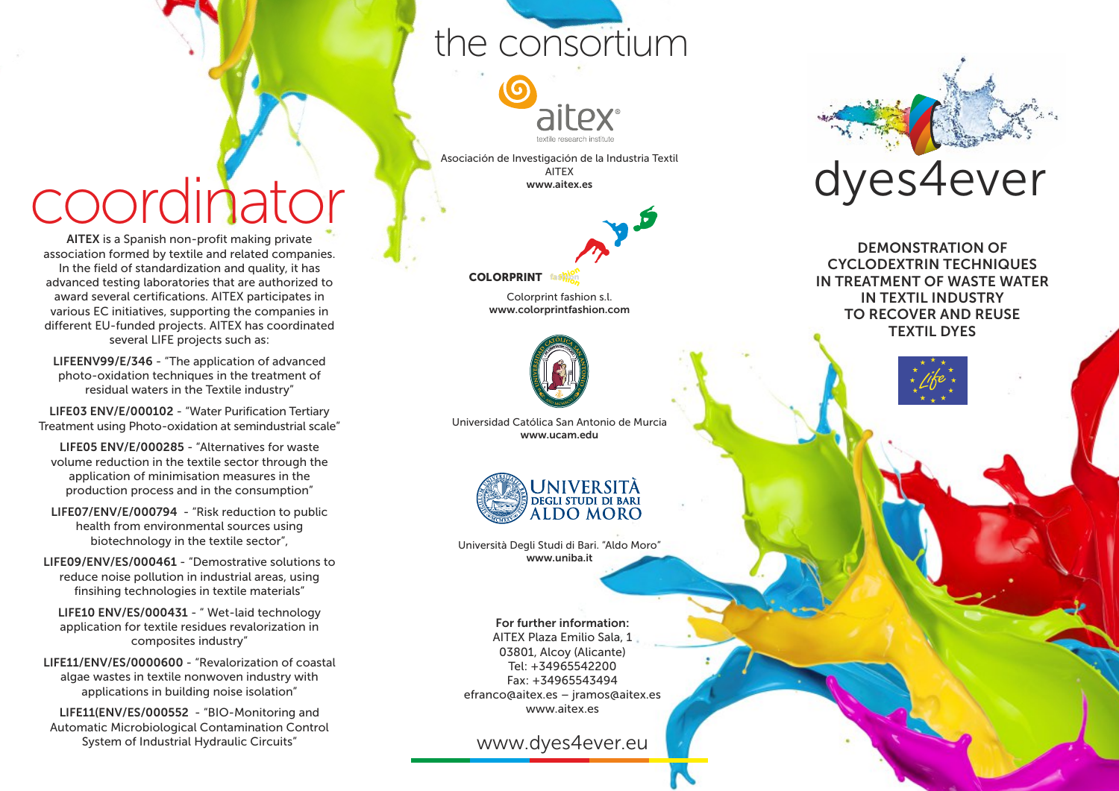### the consortium



Asociación de Investigación de la Industria Textil AITEX www.aitex.es



**COLORPRINT <sup>s</sup>hio<sup>n</sup> <sup>f</sup>ashio<sup>n</sup> fashion**

> Colorprint fashion s.l. www.colorprintfashion.com



Universidad Católica San Antonio de Murcia www.ucam.edu



Università Degli Studi di Bari. "Aldo Moro" www.uniba.it

For further information: AITEX Plaza Emilio Sala, 1 03801, Alcoy (Alicante) Tel: +34965542200 Fax: +34965543494 efranco@aitex.es – jramos@aitex.es www.aitex.es

www.dyes4ever.eu



DEMONSTRATION OF CYCLODEXTRIN TECHNIQUES IN TREATMENT OF WASTE WATER IN TEXTIL INDUSTRY TO RECOVER AND REUSE TEXTIL DYES



LIFE05 ENV/E/000285 - "Alternatives for waste volume reduction in the textile sector through the application of minimisation measures in the production process and in the consumption"

cordinator

AITEX is a Spanish non-profit making private association formed by textile and related companies. In the field of standardization and quality, it has advanced testing laboratories that are authorized to award several certifications. AITEX participates in various EC initiatives, supporting the companies in different EU-funded projects. AITEX has coordinated several LIFE projects such as: LIFEENV99/E/346 - "The application of advanced photo-oxidation techniques in the treatment of residual waters in the Textile industry" LIFE03 ENV/E/000102 - "Water Purification Tertiary Treatment using Photo-oxidation at semindustrial scale"

LIFE07/ENV/E/000794 - "Risk reduction to public health from environmental sources using biotechnology in the textile sector",

LIFE09/ENV/ES/000461 - "Demostrative solutions to reduce noise pollution in industrial areas, using finsihing technologies in textile materials"

LIFE10 ENV/ES/000431 - " Wet-laid technology application for textile residues revalorization in composites industry"

LIFE11/ENV/ES/0000600 - "Revalorization of coastal algae wastes in textile nonwoven industry with applications in building noise isolation"

LIFE11(ENV/ES/000552 - "BIO-Monitoring and Automatic Microbiological Contamination Control System of Industrial Hydraulic Circuits"